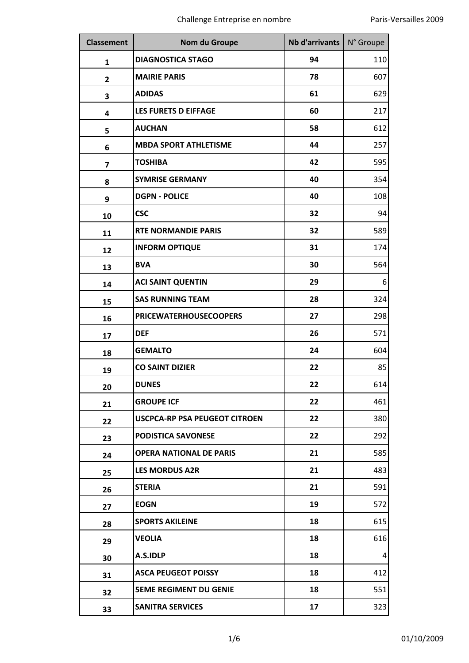| <b>Classement</b> | Nom du Groupe                        | Nb d'arrivants   N° Groupe |     |
|-------------------|--------------------------------------|----------------------------|-----|
| 1                 | <b>DIAGNOSTICA STAGO</b>             | 94                         | 110 |
| $\overline{2}$    | <b>MAIRIE PARIS</b>                  | 78                         | 607 |
| 3                 | <b>ADIDAS</b>                        | 61                         | 629 |
| 4                 | LES FURETS D EIFFAGE                 | 60                         | 217 |
| 5                 | <b>AUCHAN</b>                        | 58                         | 612 |
| 6                 | <b>MBDA SPORT ATHLETISME</b>         | 44                         | 257 |
| 7                 | <b>TOSHIBA</b>                       | 42                         | 595 |
| 8                 | <b>SYMRISE GERMANY</b>               | 40                         | 354 |
| 9                 | <b>DGPN - POLICE</b>                 | 40                         | 108 |
| 10                | <b>CSC</b>                           | 32                         | 94  |
| 11                | <b>RTE NORMANDIE PARIS</b>           | 32                         | 589 |
| 12                | <b>INFORM OPTIQUE</b>                | 31                         | 174 |
| 13                | <b>BVA</b>                           | 30                         | 564 |
| 14                | <b>ACI SAINT QUENTIN</b>             | 29                         | 6   |
| 15                | <b>SAS RUNNING TEAM</b>              | 28                         | 324 |
| 16                | <b>PRICEWATERHOUSECOOPERS</b>        | 27                         | 298 |
| 17                | <b>DEF</b>                           | 26                         | 571 |
| 18                | <b>GEMALTO</b>                       | 24                         | 604 |
| 19                | <b>CO SAINT DIZIER</b>               | 22                         | 85  |
| 20                | <b>DUNES</b>                         | 22                         | 614 |
| 21                | <b>GROUPE ICF</b>                    | 22                         | 461 |
| 22                | <b>USCPCA-RP PSA PEUGEOT CITROEN</b> | 22                         | 380 |
| 23                | <b>PODISTICA SAVONESE</b>            | 22                         | 292 |
| 24                | <b>OPERA NATIONAL DE PARIS</b>       | 21                         | 585 |
| 25                | <b>LES MORDUS A2R</b>                | 21                         | 483 |
| 26                | <b>STERIA</b>                        | 21                         | 591 |
| 27                | <b>EOGN</b>                          | 19                         | 572 |
| 28                | <b>SPORTS AKILEINE</b>               | 18                         | 615 |
| 29                | <b>VEOLIA</b>                        | 18                         | 616 |
| 30                | A.S.IDLP                             | 18                         | 4   |
| 31                | <b>ASCA PEUGEOT POISSY</b>           | 18                         | 412 |
| 32                | <b>5EME REGIMENT DU GENIE</b>        | 18                         | 551 |
| 33                | <b>SANITRA SERVICES</b>              | 17                         | 323 |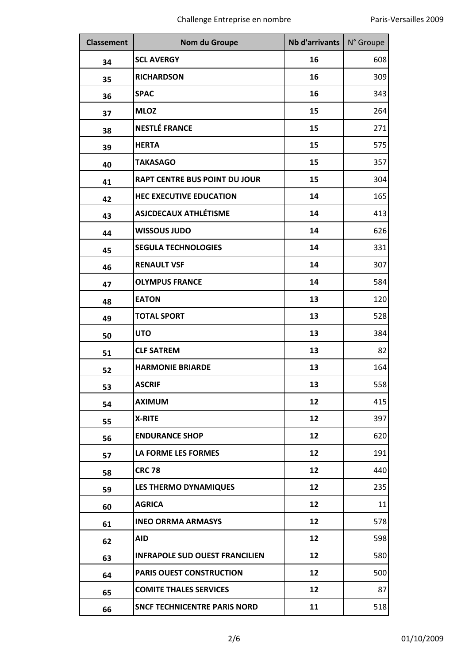| <b>Classement</b> | Nom du Groupe                         | Nb d'arrivants | N° Groupe |
|-------------------|---------------------------------------|----------------|-----------|
| 34                | <b>SCL AVERGY</b>                     | 16             | 608       |
| 35                | <b>RICHARDSON</b>                     | 16             | 309       |
| 36                | <b>SPAC</b>                           | 16             | 343       |
| 37                | <b>MLOZ</b>                           | 15             | 264       |
| 38                | <b>NESTLÉ FRANCE</b>                  | 15             | 271       |
| 39                | <b>HERTA</b>                          | 15             | 575       |
| 40                | <b>TAKASAGO</b>                       | 15             | 357       |
| 41                | <b>RAPT CENTRE BUS POINT DU JOUR</b>  | 15             | 304       |
| 42                | <b>HEC EXECUTIVE EDUCATION</b>        | 14             | 165       |
| 43                | <b>ASJCDECAUX ATHLÉTISME</b>          | 14             | 413       |
| 44                | <b>WISSOUS JUDO</b>                   | 14             | 626       |
| 45                | <b>SEGULA TECHNOLOGIES</b>            | 14             | 331       |
| 46                | <b>RENAULT VSF</b>                    | 14             | 307       |
| 47                | <b>OLYMPUS FRANCE</b>                 | 14             | 584       |
| 48                | <b>EATON</b>                          | 13             | 120       |
| 49                | <b>TOTAL SPORT</b>                    | 13             | 528       |
| 50                | <b>UTO</b>                            | 13             | 384       |
| 51                | <b>CLF SATREM</b>                     | 13             | 82        |
| 52                | <b>HARMONIE BRIARDE</b>               | 13             | 164       |
| 53                | <b>ASCRIF</b>                         | 13             | 558       |
| 54                | <b>AXIMUM</b>                         | 12             | 415       |
| 55                | <b>X-RITE</b>                         | 12             | 397       |
| 56                | <b>ENDURANCE SHOP</b>                 | 12             | 620       |
| 57                | LA FORME LES FORMES                   | 12             | 191       |
| 58                | <b>CRC 78</b>                         | 12             | 440       |
| 59                | <b>LES THERMO DYNAMIQUES</b>          | 12             | 235       |
| 60                | <b>AGRICA</b>                         | 12             | 11        |
| 61                | <b>INEO ORRMA ARMASYS</b>             | 12             | 578       |
| 62                | <b>AID</b>                            | 12             | 598       |
| 63                | <b>INFRAPOLE SUD OUEST FRANCILIEN</b> | 12             | 580       |
| 64                | PARIS OUEST CONSTRUCTION              | 12             | 500       |
| 65                | <b>COMITE THALES SERVICES</b>         | 12             | 87        |
| 66                | <b>SNCF TECHNICENTRE PARIS NORD</b>   | 11             | 518       |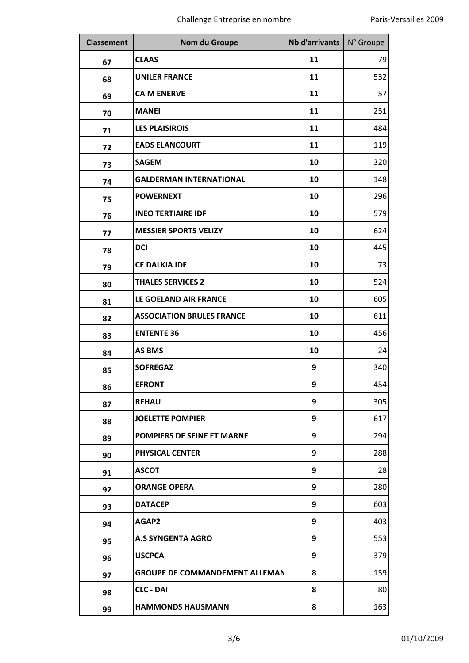| <b>Classement</b> | Nom du Groupe                         | <b>Nb d'arrivants</b> | N° Groupe |
|-------------------|---------------------------------------|-----------------------|-----------|
| 67                | <b>CLAAS</b>                          | 11                    | 79        |
| 68                | <b>UNILER FRANCE</b>                  | 11                    | 532       |
| 69                | <b>CA M ENERVE</b>                    | 11                    | 57        |
| 70                | <b>MANEI</b>                          | 11                    | 251       |
| 71                | <b>LES PLAISIROIS</b>                 | 11                    | 484       |
| 72                | <b>EADS ELANCOURT</b>                 | 11                    | 119       |
| 73                | <b>SAGEM</b>                          | 10                    | 320       |
| 74                | <b>GALDERMAN INTERNATIONAL</b>        | 10                    | 148       |
| 75                | <b>POWERNEXT</b>                      | 10                    | 296       |
| 76                | <b>INEO TERTIAIRE IDF</b>             | 10                    | 579       |
| 77                | <b>MESSIER SPORTS VELIZY</b>          | 10                    | 624       |
| 78                | <b>DCI</b>                            | 10                    | 445       |
| 79                | <b>CE DALKIA IDF</b>                  | 10                    | 73        |
| 80                | <b>THALES SERVICES 2</b>              | 10                    | 524       |
| 81                | LE GOELAND AIR FRANCE                 | 10                    | 605       |
| 82                | <b>ASSOCIATION BRULES FRANCE</b>      | 10                    | 611       |
| 83                | <b>ENTENTE 36</b>                     | 10                    | 456       |
| 84                | <b>AS BMS</b>                         | 10                    | 24        |
| 85                | <b>SOFREGAZ</b>                       | 9                     | 340       |
| 86                | <b>EFRONT</b>                         | 9                     | 454       |
| 87                | <b>REHAU</b>                          | 9                     | 305       |
| 88                | <b>JOELETTE POMPIER</b>               | 9                     | 617       |
| 89                | <b>POMPIERS DE SEINE ET MARNE</b>     | 9                     | 294       |
| 90                | <b>PHYSICAL CENTER</b>                | 9                     | 288       |
| 91                | <b>ASCOT</b>                          | 9                     | 28        |
| 92                | <b>ORANGE OPERA</b>                   | 9                     | 280       |
| 93                | <b>DATACEP</b>                        | 9                     | 603       |
| 94                | AGAP2                                 | 9                     | 403       |
| 95                | <b>A.S SYNGENTA AGRO</b>              | 9                     | 553       |
| 96                | <b>USCPCA</b>                         | 9                     | 379       |
| 97                | <b>GROUPE DE COMMANDEMENT ALLEMAN</b> | 8                     | 159       |
| 98                | <b>CLC - DAI</b>                      | 8                     | 80        |
| 99                | <b>HAMMONDS HAUSMANN</b>              | 8                     | 163       |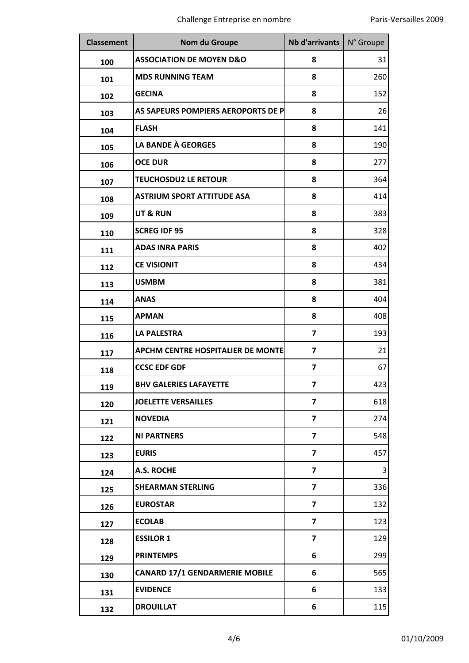| <b>Classement</b> | Nom du Groupe                            | Nb d'arrivants   N° Groupe |     |
|-------------------|------------------------------------------|----------------------------|-----|
| 100               | <b>ASSOCIATION DE MOYEN D&amp;O</b>      | 8                          | 31  |
| 101               | <b>MDS RUNNING TEAM</b>                  | 8                          | 260 |
| 102               | <b>GECINA</b>                            | 8                          | 152 |
| 103               | AS SAPEURS POMPIERS AEROPORTS DE P       | 8                          | 26  |
| 104               | <b>FLASH</b>                             | 8                          | 141 |
| 105               | <b>LA BANDE À GEORGES</b>                | 8                          | 190 |
| 106               | <b>OCE DUR</b>                           | 8                          | 277 |
| 107               | <b>TEUCHOSDU2 LE RETOUR</b>              | 8                          | 364 |
| 108               | <b>ASTRIUM SPORT ATTITUDE ASA</b>        | 8                          | 414 |
| 109               | <b>UT &amp; RUN</b>                      | 8                          | 383 |
| 110               | <b>SCREG IDF 95</b>                      | 8                          | 328 |
| 111               | <b>ADAS INRA PARIS</b>                   | 8                          | 402 |
| 112               | <b>CE VISIONIT</b>                       | 8                          | 434 |
| 113               | <b>USMBM</b>                             | 8                          | 381 |
| 114               | <b>ANAS</b>                              | 8                          | 404 |
| 115               | <b>APMAN</b>                             | 8                          | 408 |
| 116               | <b>LA PALESTRA</b>                       | $\overline{7}$             | 193 |
| 117               | <b>APCHM CENTRE HOSPITALIER DE MONTE</b> | $\overline{\mathbf{z}}$    | 21  |
| 118               | <b>CCSC EDF GDF</b>                      | $\overline{\mathbf{z}}$    | 67  |
| 119               | <b>BHV GALERIES LAFAYETTE</b>            | 7                          | 423 |
| 120               | <b>JOELETTE VERSAILLES</b>               | $\overline{7}$             | 618 |
| 121               | <b>NOVEDIA</b>                           | $\overline{\mathbf{z}}$    | 274 |
| 122               | <b>NI PARTNERS</b>                       | $\overline{7}$             | 548 |
| 123               | <b>EURIS</b>                             | $\overline{\mathbf{z}}$    | 457 |
| 124               | A.S. ROCHE                               | $\overline{7}$             | 3   |
| 125               | <b>SHEARMAN STERLING</b>                 | 7                          | 336 |
| 126               | <b>EUROSTAR</b>                          | $\overline{7}$             | 132 |
| 127               | <b>ECOLAB</b>                            | $\overline{\mathbf{z}}$    | 123 |
| 128               | <b>ESSILOR 1</b>                         | $\overline{\mathbf{z}}$    | 129 |
| 129               | <b>PRINTEMPS</b>                         | 6                          | 299 |
| 130               | <b>CANARD 17/1 GENDARMERIE MOBILE</b>    | 6                          | 565 |
| 131               | <b>EVIDENCE</b>                          | 6                          | 133 |
| 132               | <b>DROUILLAT</b>                         | 6                          | 115 |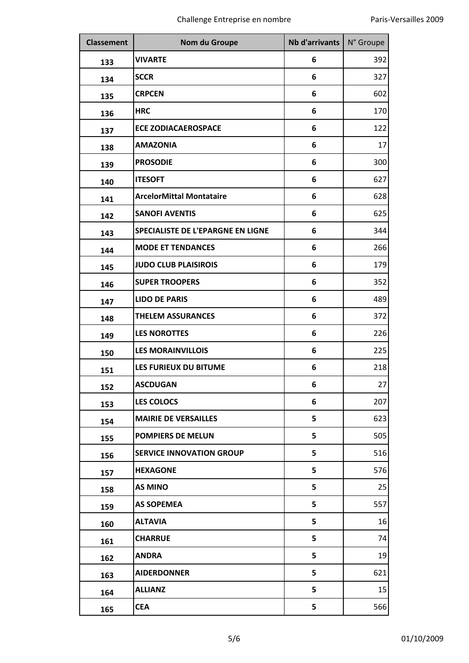| <b>Classement</b> | <b>Nom du Groupe</b>                     | Nb d'arrivants | N° Groupe |
|-------------------|------------------------------------------|----------------|-----------|
| 133               | <b>VIVARTE</b>                           | 6              | 392       |
| 134               | <b>SCCR</b>                              | 6              | 327       |
| 135               | <b>CRPCEN</b>                            | 6              | 602       |
| 136               | <b>HRC</b>                               | 6              | 170       |
| 137               | <b>ECE ZODIACAEROSPACE</b>               | 6              | 122       |
| 138               | <b>AMAZONIA</b>                          | 6              | 17        |
| 139               | <b>PROSODIE</b>                          | 6              | 300       |
| 140               | <b>ITESOFT</b>                           | 6              | 627       |
| 141               | <b>ArcelorMittal Montataire</b>          | 6              | 628       |
| 142               | <b>SANOFI AVENTIS</b>                    | 6              | 625       |
| 143               | <b>SPECIALISTE DE L'EPARGNE EN LIGNE</b> | 6              | 344       |
| 144               | <b>MODE ET TENDANCES</b>                 | 6              | 266       |
| 145               | <b>JUDO CLUB PLAISIROIS</b>              | 6              | 179       |
| 146               | <b>SUPER TROOPERS</b>                    | 6              | 352       |
| 147               | <b>LIDO DE PARIS</b>                     | 6              | 489       |
| 148               | <b>THELEM ASSURANCES</b>                 | 6              | 372       |
| 149               | <b>LES NOROTTES</b>                      | 6              | 226       |
| 150               | <b>LES MORAINVILLOIS</b>                 | 6              | 225       |
| 151               | LES FURIEUX DU BITUME                    | 6              | 218       |
| 152               | <b>ASCDUGAN</b>                          | 6              | 27        |
| 153               | <b>LES COLOCS</b>                        | 6              | 207       |
| 154               | <b>MAIRIE DE VERSAILLES</b>              | 5              | 623       |
| 155               | <b>POMPIERS DE MELUN</b>                 | 5              | 505       |
| 156               | <b>SERVICE INNOVATION GROUP</b>          | 5              | 516       |
| 157               | <b>HEXAGONE</b>                          | 5              | 576       |
| 158               | <b>AS MINO</b>                           | 5              | 25        |
| 159               | <b>AS SOPEMEA</b>                        | 5              | 557       |
| 160               | <b>ALTAVIA</b>                           | 5              | 16        |
| 161               | <b>CHARRUE</b>                           | 5              | 74        |
| 162               | <b>ANDRA</b>                             | 5              | 19        |
| 163               | <b>AIDERDONNER</b>                       | 5              | 621       |
| 164               | <b>ALLIANZ</b>                           | 5              | 15        |
| 165               | <b>CEA</b>                               | 5              | 566       |